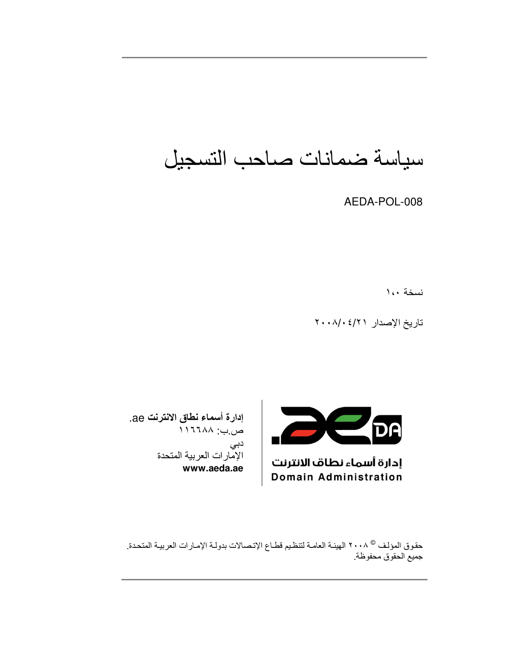سياسة ضمانات صاحب التسجيل

AEDA-POL-008

نسخة ١،٠

تاريخ الإصدار ٢٠٠٨/٠٤/٢



إدارة أسماء نطاف الانترنت **Domain Administration** 

إدارة أسماء نطاق الانترنت ae. ص.ب: ١٦٦٨٨ دبی الإمارات العربية المتحدة www.aeda.ae

حقوق المؤلف ® ٢٠٠٨ الهيئـة العامـة لتنظيم قطـاع الإتـصـالات بدولـة الإمـارات العربيـة المتحدة. جميع الحقوق محفوظة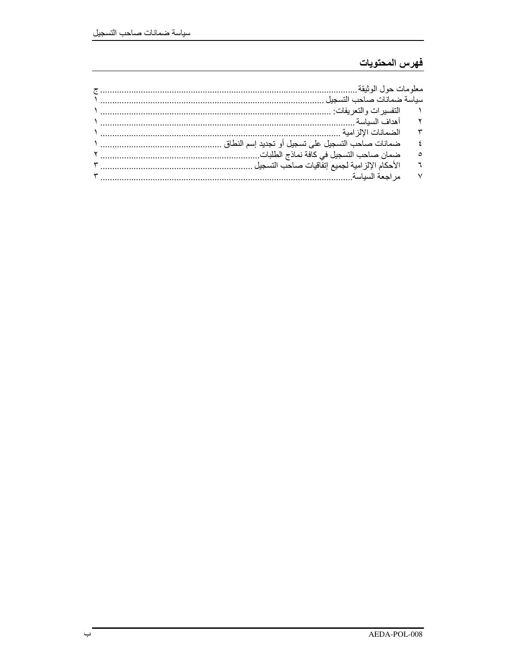### فهرس المحتويات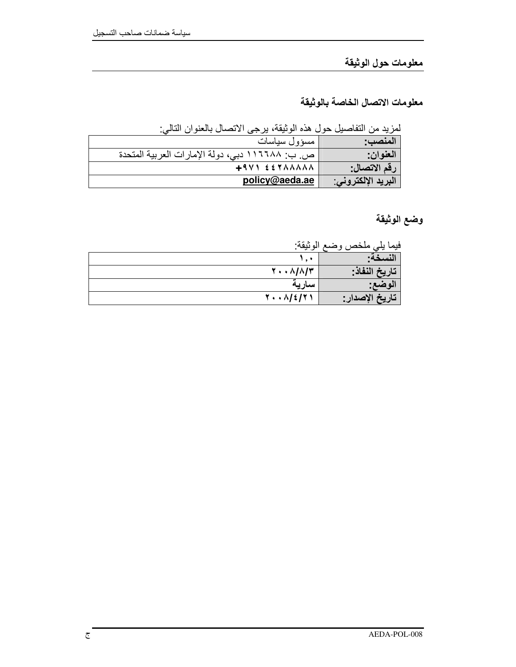# معلومات حول الوثيقة

معلومات الاتصال الخاصة بالوثيقة

لمزيد من التفاصيل حول هذه الوثيقة، يرجى الاتصال بالعنوان التالي:

| المنصب:            | مسؤول سياسات                                    |
|--------------------|-------------------------------------------------|
| العنوان:           | ص. ب: ١١٦٦٨٨ دبي، دولة الإمارات العربية المتحدة |
| رقم الاتصال:       | $+9V$ $557AAAAA$                                |
| البريد الإلكتروني: | policy@aeda.ae                                  |

وضع الوثيقة

فيما يلي ملخص وضع الوثيقة:

| .                                 | <u>J D</u><br>. . |
|-----------------------------------|-------------------|
|                                   | نسخه:             |
| $Y \cdot \cdot \Lambda/\Lambda/T$ | تاريخ النفاذ:     |
| سآريه                             | الوضع:            |
| $Y \cdot \cdot \Lambda / 2 / 7$   | ' تاريخ الإصدار : |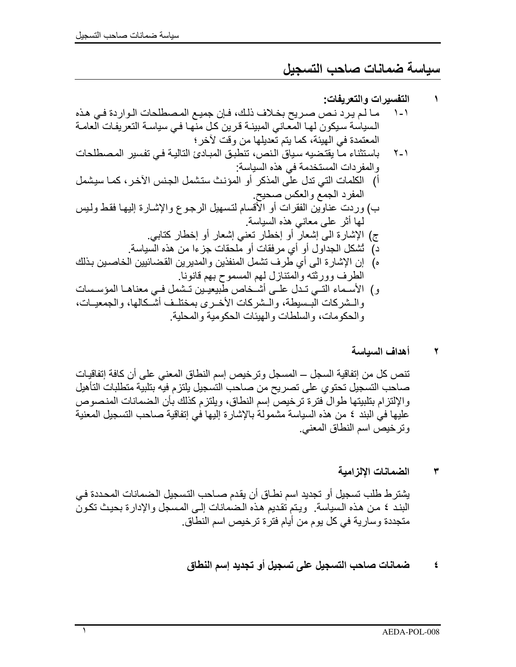## سياسة ضمانات صاحب التسجيل

١

#### أهداف السباسة  $\blacktriangledown$

تنص كل من إتفاقية السجل ــ المسجل وترخيص إسم النطاق المعنى على أن كافة إتفاقيات صاحب التسجيل تحتوي على تصريح من صاحب التسجيل يلتزم فيه بتلبية متطلبات التأهيل والإلتزام بتلبيتها طوال فترة ترخيص إسم النطاق، ويلتزم كذلك بأن الضمانات المنصوص عليها في البند ٤ من هذه السياسة مشمولة بالإشارة إليها في إتفاقية صاحب التسجيل المعنية وترخيص اسم النطاق المعنى.

> الضمانات الإلزامية ٣

يشترط طلب تسجيل أو تجديد اسم نطاق أن يقدم صـاحب التسجيل الضمانات المحددة في البند ٤ من هذه السياسة. ويتم تقديم هذه الضمانات إلى المسجل والإدارة بحيث تكونَ متجددة وسارية في كل يوم من أيام فترة ترخيص اسم النطاق.

### ضمانات صاحب التسجيل على تسجيل أو تجديد إسم النطاق  $\pmb{\xi}$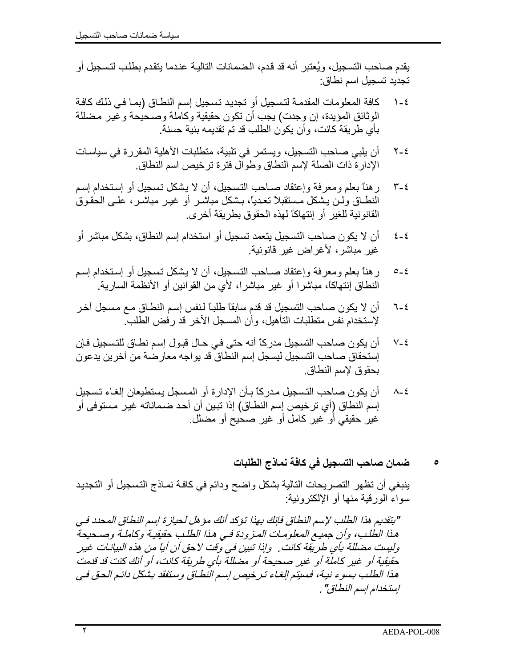يقدم صـاحب التسجيل، ويُعتبر أنه قد قدم، الـضمانات التاليـة عندما يتقدم بطلب لتسجيل أو تجديد تسجيل اسم نطاق:

- كافة المعلومات المقدمة لتسجيل أو تجديد تسجيل إسم النطـاق (بمـا فـي ذلك كافـة  $1 - 2$ الوثائق المؤيدة، إن وجدت) يجب أن تكون حقيقية وكاملة وصحيحة وغير مضللة بأي طر بقة كانت، و أن بكون الطلب قد تم تقديمه بنية حسنة.
- أن يلبي صاحب التسجيل، ويستمر في تلبية، متطلبات الأهلية المقررة في سياسات  $Y - 2$ الإدارة ذات الصلة لإسم النطاق وطوال فترة ترخيص اسم النطاق
- ر هنا بعلم ومعرفة وإعتقاد صـاحب التسجيل، أن لا يشكل تسجيل أو إستخدام إسم  $\mathbf{r}$  -  $\epsilon$ النطــاق ولـن يـشكل مـستقبلاً تعـديـًا، بـشكل مباشـر أو غيـر مباشـر ، علــى الحقـوق القانو نبة للغير أو إنتهاكاً لهذه الحقوق بطر بقة أخر ي.
- أن لا بكون صـاحب التسجيل بتعمد تسجيل أو استخدام إسم النطـاق، بشكل مباشر أو  $\xi - \xi$ غير مباشر ، لأغراض غير قانونية.
- ر هنا بعلم ومعرفة وإعتقاد صـاحب التسجيل، أن لا يشكل تسجيل أو إستخدام إسم  $0 - 2$ النطاق إنتهاكًا، مباشرا أو غير مباشرا، لأى من القوانين أو الأنظمة السارية.
- أن لا يكون صـاحب التسجيل قد قدم سابقاً طلبــاً لـنفس إسم النطــاق مــع مـسجل آخـر  $7 - 2$ لإستخدام نفس متطلبات التأهيل، وأن المسجل الآخر قد رفض الطلب
- أن يكون صـاحب التسجيل مدركاً أنـه حتى فـي حـال قبـول إسم نطـاق للتسجيل فـإن  $V - \epsilon$ إستحقاق صـاحب التسجيل ليسجل إسم النطاق قد يواجه معارضـة من آخرين يدعون بحقو ق لإسم النطاق.
- أن يكون صـاحب التسجيل مـدركـًا بـأن الإدارـة أو المسجل يستطيعان إلغـاء تسجيل  $\lambda$ - $\epsilon$ إسم النطاق (أي ترخيص إسم النطـاق) إذا تبين أن أحد ضـمـاناته غيـر مـستوفي أو غير حقيقي أو غير كامل أو غير صحيح أو مضلل.
	- ضمان صاحب التسجيل في كافة نماذج الطلبات

ينبغي أن تظهر التصريحات التالية بشكل واضح ودائم في كافـة نمـاذج التسجيل أو التجديد سواء الورقية منها أو الإلكترونية:

"بتقديم هذا الطلب لإسم النطاق فإنك بهذا تؤكد أنك مؤ هل لحياز ة اسم النطاق المحدد في هذا الطِّلب، وأن جميع المعلومات المزودة فـي هذا الطلب حقيقية وكاملة وصـحيحةً وليست مضللة بأي طريقة كانت . وإذا تبين في وقت لاحق أن أياً من هذه البيانـات غير حقيقية أو غير كاملة أو غير صحيحة أو مضللة بأي طريقة كانت، أو أنك كنت قد قدمت هذا الطلب بسوء نية، فسيتم الغاء تر خيص اسم النطاق وستفقد بشكل دائم الحق في إستخدام إسم النطاق" .